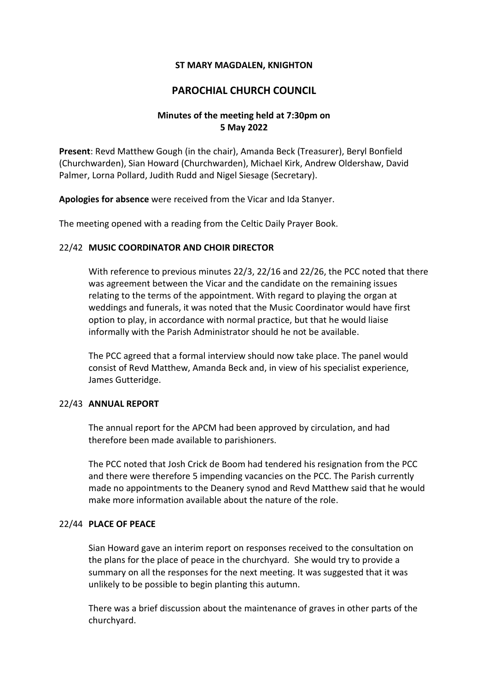## **ST MARY MAGDALEN, KNIGHTON**

# **PAROCHIAL CHURCH COUNCIL**

## **Minutes of the meeting held at 7:30pm on 5 May 2022**

**Present**: Revd Matthew Gough (in the chair), Amanda Beck (Treasurer), Beryl Bonfield (Churchwarden), Sian Howard (Churchwarden), Michael Kirk, Andrew Oldershaw, David Palmer, Lorna Pollard, Judith Rudd and Nigel Siesage (Secretary).

**Apologies for absence** were received from the Vicar and Ida Stanyer.

The meeting opened with a reading from the Celtic Daily Prayer Book.

## 22/42 **MUSIC COORDINATOR AND CHOIR DIRECTOR**

With reference to previous minutes 22/3, 22/16 and 22/26, the PCC noted that there was agreement between the Vicar and the candidate on the remaining issues relating to the terms of the appointment. With regard to playing the organ at weddings and funerals, it was noted that the Music Coordinator would have first option to play, in accordance with normal practice, but that he would liaise informally with the Parish Administrator should he not be available.

The PCC agreed that a formal interview should now take place. The panel would consist of Revd Matthew, Amanda Beck and, in view of his specialist experience, James Gutteridge.

#### 22/43 **ANNUAL REPORT**

The annual report for the APCM had been approved by circulation, and had therefore been made available to parishioners.

The PCC noted that Josh Crick de Boom had tendered his resignation from the PCC and there were therefore 5 impending vacancies on the PCC. The Parish currently made no appointments to the Deanery synod and Revd Matthew said that he would make more information available about the nature of the role.

#### 22/44 **PLACE OF PEACE**

Sian Howard gave an interim report on responses received to the consultation on the plans for the place of peace in the churchyard. She would try to provide a summary on all the responses for the next meeting. It was suggested that it was unlikely to be possible to begin planting this autumn.

There was a brief discussion about the maintenance of graves in other parts of the churchyard.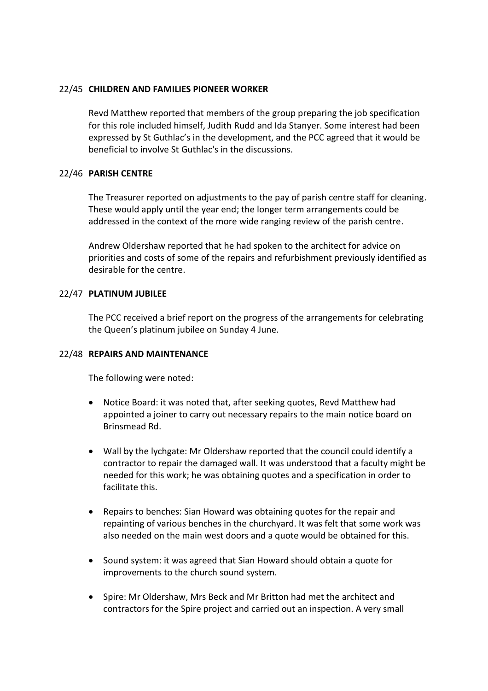## 22/45 **CHILDREN AND FAMILIES PIONEER WORKER**

Revd Matthew reported that members of the group preparing the job specification for this role included himself, Judith Rudd and Ida Stanyer. Some interest had been expressed by St Guthlac's in the development, and the PCC agreed that it would be beneficial to involve St Guthlac's in the discussions.

## 22/46 **PARISH CENTRE**

The Treasurer reported on adjustments to the pay of parish centre staff for cleaning. These would apply until the year end; the longer term arrangements could be addressed in the context of the more wide ranging review of the parish centre.

Andrew Oldershaw reported that he had spoken to the architect for advice on priorities and costs of some of the repairs and refurbishment previously identified as desirable for the centre.

## 22/47 **PLATINUM JUBILEE**

The PCC received a brief report on the progress of the arrangements for celebrating the Queen's platinum jubilee on Sunday 4 June.

## 22/48 **REPAIRS AND MAINTENANCE**

The following were noted:

- Notice Board: it was noted that, after seeking quotes, Revd Matthew had appointed a joiner to carry out necessary repairs to the main notice board on Brinsmead Rd.
- Wall by the lychgate: Mr Oldershaw reported that the council could identify a contractor to repair the damaged wall. It was understood that a faculty might be needed for this work; he was obtaining quotes and a specification in order to facilitate this.
- Repairs to benches: Sian Howard was obtaining quotes for the repair and repainting of various benches in the churchyard. It was felt that some work was also needed on the main west doors and a quote would be obtained for this.
- Sound system: it was agreed that Sian Howard should obtain a quote for improvements to the church sound system.
- Spire: Mr Oldershaw, Mrs Beck and Mr Britton had met the architect and contractors for the Spire project and carried out an inspection. A very small